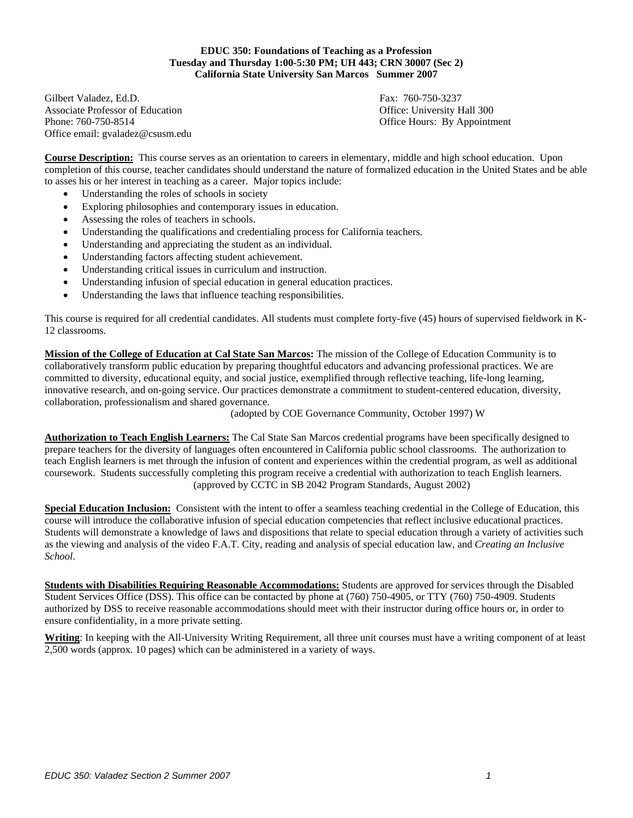**EDUC 350: Foundations of Teaching as a Profession Tuesday and Thursday 1:00-5:30 PM; UH 443; CRN 30007 (Sec 2) California State University San Marcos Summer 2007** 

Gilbert Valadez, Ed.D. Fax: 760-750-3237 Associate Professor of Education **Contract Contract Contract Contract Contract Contract Contract Contract Contract Contract Contract Contract Contract Contract Contract Contract Contract Contract Contract Contract Contract** Phone: 760-750-8514 **Contained Building Contains a Contained Building Contained Contains Contained Contains a Containing Contains a Containing Contains a Containing Contains a Contains a Contains a Contains a Contains a Co** Office email: gvaladez@csusm.edu

**Course Description:** This course serves as an orientation to careers in elementary, middle and high school education. Upon completion of this course, teacher candidates should understand the nature of formalized education in the United States and be able to asses his or her interest in teaching as a career. Major topics include:

- Understanding the roles of schools in society
- Exploring philosophies and contemporary issues in education.
- Assessing the roles of teachers in schools.
- Understanding the qualifications and credentialing process for California teachers.
- Understanding and appreciating the student as an individual.
- Understanding factors affecting student achievement.
- Understanding critical issues in curriculum and instruction.
- Understanding infusion of special education in general education practices.
- Understanding the laws that influence teaching responsibilities.

This course is required for all credential candidates. All students must complete forty-five (45) hours of supervised fieldwork in K-12 classrooms.

**Mission of the College of Education at Cal State San Marcos:** The mission of the College of Education Community is to collaboratively transform public education by preparing thoughtful educators and advancing professional practices. We are committed to diversity, educational equity, and social justice, exemplified through reflective teaching, life-long learning, innovative research, and on-going service. Our practices demonstrate a commitment to student-centered education, diversity, collaboration, professionalism and shared governance.

(adopted by COE Governance Community, October 1997) W

**Authorization to Teach English Learners:** The Cal State San Marcos credential programs have been specifically designed to prepare teachers for the diversity of languages often encountered in California public school classrooms. The authorization to teach English learners is met through the infusion of content and experiences within the credential program, as well as additional coursework. Students successfully completing this program receive a credential with authorization to teach English learners. (approved by CCTC in SB 2042 Program Standards, August 2002)

**Special Education Inclusion:** Consistent with the intent to offer a seamless teaching credential in the College of Education, this course will introduce the collaborative infusion of special education competencies that reflect inclusive educational practices. Students will demonstrate a knowledge of laws and dispositions that relate to special education through a variety of activities such as the viewing and analysis of the video F.A.T. City, reading and analysis of special education law, and *Creating an Inclusive School*.

**Students with Disabilities Requiring Reasonable Accommodations:** Students are approved for services through the Disabled Student Services Office (DSS). This office can be contacted by phone at (760) 750-4905, or TTY (760) 750-4909. Students authorized by DSS to receive reasonable accommodations should meet with their instructor during office hours or, in order to ensure confidentiality, in a more private setting.

**Writing**: In keeping with the All-University Writing Requirement, all three unit courses must have a writing component of at least 2,500 words (approx. 10 pages) which can be administered in a variety of ways.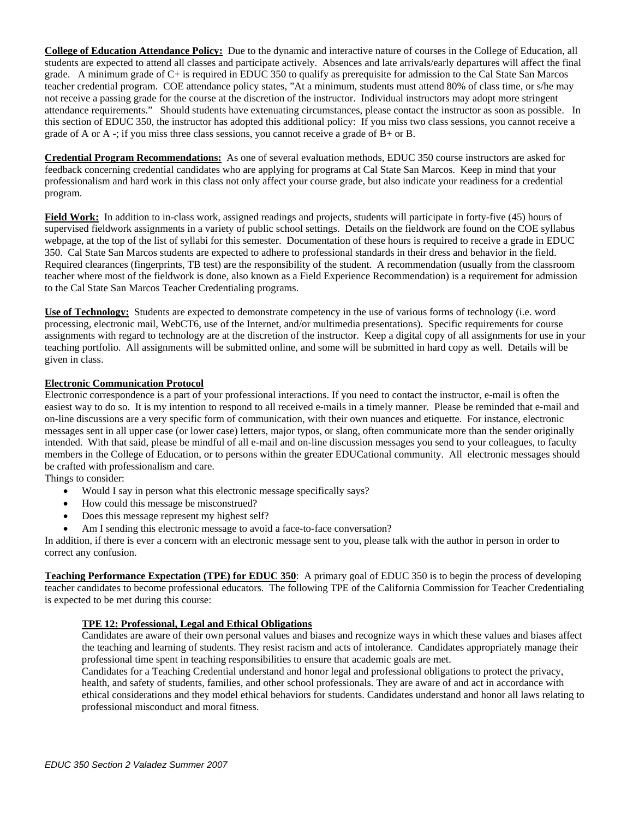**College of Education Attendance Policy:** Due to the dynamic and interactive nature of courses in the College of Education, all students are expected to attend all classes and participate actively. Absences and late arrivals/early departures will affect the final grade. A minimum grade of C+ is required in EDUC 350 to qualify as prerequisite for admission to the Cal State San Marcos teacher credential program. COE attendance policy states, "At a minimum, students must attend 80% of class time, or s/he may not receive a passing grade for the course at the discretion of the instructor. Individual instructors may adopt more stringent attendance requirements." Should students have extenuating circumstances, please contact the instructor as soon as possible. In this section of EDUC 350, the instructor has adopted this additional policy: If you miss two class sessions, you cannot receive a grade of A or A -; if you miss three class sessions, you cannot receive a grade of B+ or B.

**Credential Program Recommendations:** As one of several evaluation methods, EDUC 350 course instructors are asked for feedback concerning credential candidates who are applying for programs at Cal State San Marcos. Keep in mind that your professionalism and hard work in this class not only affect your course grade, but also indicate your readiness for a credential program.

**Field Work:** In addition to in-class work, assigned readings and projects, students will participate in forty-five (45) hours of supervised fieldwork assignments in a variety of public school settings. Details on the fieldwork are found on the COE syllabus webpage, at the top of the list of syllabi for this semester. Documentation of these hours is required to receive a grade in EDUC 350. Cal State San Marcos students are expected to adhere to professional standards in their dress and behavior in the field. Required clearances (fingerprints, TB test) are the responsibility of the student. A recommendation (usually from the classroom teacher where most of the fieldwork is done, also known as a Field Experience Recommendation) is a requirement for admission to the Cal State San Marcos Teacher Credentialing programs.

**Use of Technology:** Students are expected to demonstrate competency in the use of various forms of technology (i.e. word processing, electronic mail, WebCT6, use of the Internet, and/or multimedia presentations). Specific requirements for course assignments with regard to technology are at the discretion of the instructor. Keep a digital copy of all assignments for use in your teaching portfolio. All assignments will be submitted online, and some will be submitted in hard copy as well. Details will be given in class.

# **Electronic Communication Protocol**

Electronic correspondence is a part of your professional interactions. If you need to contact the instructor, e-mail is often the easiest way to do so. It is my intention to respond to all received e-mails in a timely manner. Please be reminded that e-mail and on-line discussions are a very specific form of communication, with their own nuances and etiquette. For instance, electronic messages sent in all upper case (or lower case) letters, major typos, or slang, often communicate more than the sender originally intended. With that said, please be mindful of all e-mail and on-line discussion messages you send to your colleagues, to faculty members in the College of Education, or to persons within the greater EDUCational community. All electronic messages should be crafted with professionalism and care.

Things to consider:

- Would I say in person what this electronic message specifically says?
- How could this message be misconstrued?
- Does this message represent my highest self?
- Am I sending this electronic message to avoid a face-to-face conversation?

In addition, if there is ever a concern with an electronic message sent to you, please talk with the author in person in order to correct any confusion.

**Teaching Performance Expectation (TPE) for EDUC 350**: A primary goal of EDUC 350 is to begin the process of developing teacher candidates to become professional educators. The following TPE of the California Commission for Teacher Credentialing is expected to be met during this course:

# **TPE 12: Professional, Legal and Ethical Obligations**

Candidates are aware of their own personal values and biases and recognize ways in which these values and biases affect the teaching and learning of students. They resist racism and acts of intolerance. Candidates appropriately manage their professional time spent in teaching responsibilities to ensure that academic goals are met.

Candidates for a Teaching Credential understand and honor legal and professional obligations to protect the privacy, health, and safety of students, families, and other school professionals. They are aware of and act in accordance with ethical considerations and they model ethical behaviors for students. Candidates understand and honor all laws relating to professional misconduct and moral fitness.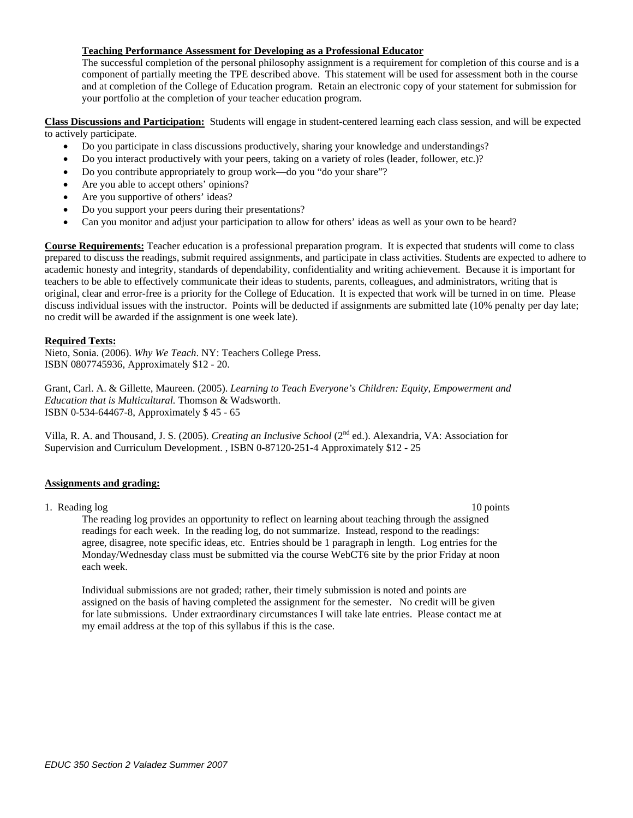### **Teaching Performance Assessment for Developing as a Professional Educator**

The successful completion of the personal philosophy assignment is a requirement for completion of this course and is a component of partially meeting the TPE described above. This statement will be used for assessment both in the course and at completion of the College of Education program. Retain an electronic copy of your statement for submission for your portfolio at the completion of your teacher education program.

**Class Discussions and Participation:** Students will engage in student-centered learning each class session, and will be expected to actively participate.

- Do you participate in class discussions productively, sharing your knowledge and understandings?
- Do you interact productively with your peers, taking on a variety of roles (leader, follower, etc.)?
- Do you contribute appropriately to group work—do you "do your share"?
- Are you able to accept others' opinions?
- Are you supportive of others' ideas?
- Do you support your peers during their presentations?
- Can you monitor and adjust your participation to allow for others' ideas as well as your own to be heard?

**Course Requirements:** Teacher education is a professional preparation program. It is expected that students will come to class prepared to discuss the readings, submit required assignments, and participate in class activities. Students are expected to adhere to academic honesty and integrity, standards of dependability, confidentiality and writing achievement. Because it is important for teachers to be able to effectively communicate their ideas to students, parents, colleagues, and administrators, writing that is original, clear and error-free is a priority for the College of Education. It is expected that work will be turned in on time. Please discuss individual issues with the instructor. Points will be deducted if assignments are submitted late (10% penalty per day late; no credit will be awarded if the assignment is one week late).

### **Required Texts:**

Nieto, Sonia. (2006). *Why We Teach*. NY: Teachers College Press. ISBN 0807745936, Approximately \$12 - 20.

Grant, Carl. A. & Gillette, Maureen. (2005). *Learning to Teach Everyone's Children: Equity, Empowerment and Education that is Multicultural.* Thomson & Wadsworth. ISBN 0-534-64467-8, Approximately \$ 45 - 65

Villa, R. A. and Thousand, J. S. (2005). *Creating an Inclusive School* (2nd ed.). Alexandria, VA: Association for Supervision and Curriculum Development. , ISBN 0-87120-251-4 Approximately \$12 - 25

### **Assignments and grading:**

1. Reading log 10 points 10 points 10 points 10 points 10 points 10 points 10 points 10 points 10 points 10 points 10 points 10 points 10 points 10 points 10 points 10 points 10 points 10 points 10 points 10 points 10 poin

The reading log provides an opportunity to reflect on learning about teaching through the assigned readings for each week. In the reading log, do not summarize. Instead, respond to the readings: agree, disagree, note specific ideas, etc. Entries should be 1 paragraph in length. Log entries for the Monday/Wednesday class must be submitted via the course WebCT6 site by the prior Friday at noon each week.

Individual submissions are not graded; rather, their timely submission is noted and points are assigned on the basis of having completed the assignment for the semester. No credit will be given for late submissions. Under extraordinary circumstances I will take late entries. Please contact me at my email address at the top of this syllabus if this is the case.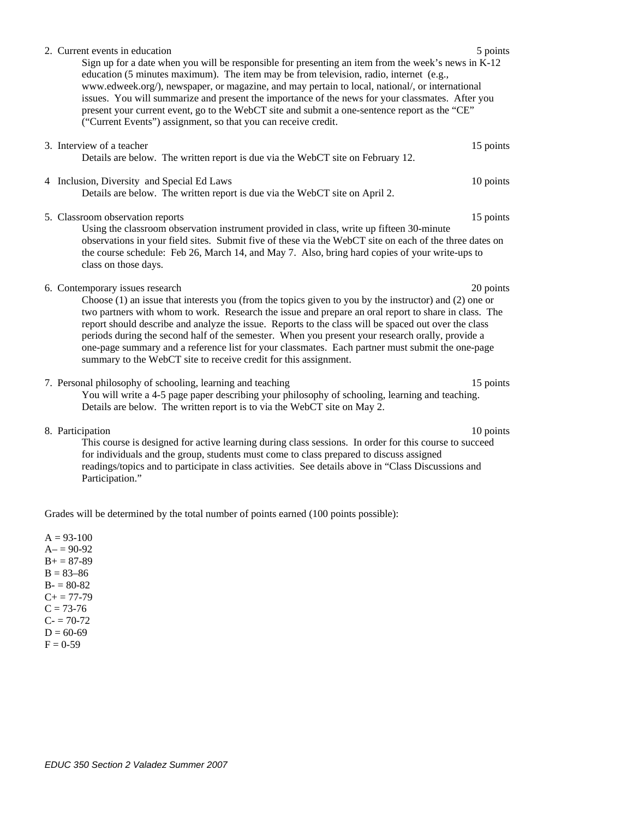| 5 points<br>2. Current events in education<br>Sign up for a date when you will be responsible for presenting an item from the week's news in K-12<br>education (5 minutes maximum). The item may be from television, radio, internet (e.g.,<br>www.edweek.org/), newspaper, or magazine, and may pertain to local, national/, or international<br>issues. You will summarize and present the importance of the news for your classmates. After you<br>present your current event, go to the WebCT site and submit a one-sentence report as the "CE"<br>("Current Events") assignment, so that you can receive credit.                              |  |
|----------------------------------------------------------------------------------------------------------------------------------------------------------------------------------------------------------------------------------------------------------------------------------------------------------------------------------------------------------------------------------------------------------------------------------------------------------------------------------------------------------------------------------------------------------------------------------------------------------------------------------------------------|--|
| 3. Interview of a teacher<br>15 points<br>Details are below. The written report is due via the WebCT site on February 12.                                                                                                                                                                                                                                                                                                                                                                                                                                                                                                                          |  |
| 10 points<br>4 Inclusion, Diversity and Special Ed Laws<br>Details are below. The written report is due via the WebCT site on April 2.                                                                                                                                                                                                                                                                                                                                                                                                                                                                                                             |  |
| 5. Classroom observation reports<br>15 points<br>Using the classroom observation instrument provided in class, write up fifteen 30-minute<br>observations in your field sites. Submit five of these via the WebCT site on each of the three dates on<br>the course schedule: Feb 26, March 14, and May 7. Also, bring hard copies of your write-ups to<br>class on those days.                                                                                                                                                                                                                                                                     |  |
| 6. Contemporary issues research<br>20 points<br>Choose (1) an issue that interests you (from the topics given to you by the instructor) and (2) one or<br>two partners with whom to work. Research the issue and prepare an oral report to share in class. The<br>report should describe and analyze the issue. Reports to the class will be spaced out over the class<br>periods during the second half of the semester. When you present your research orally, provide a<br>one-page summary and a reference list for your classmates. Each partner must submit the one-page<br>summary to the WebCT site to receive credit for this assignment. |  |
| 7. Personal philosophy of schooling, learning and teaching<br>15 points<br>You will write a 4-5 page paper describing your philosophy of schooling, learning and teaching.<br>Details are below. The written report is to via the WebCT site on May 2.                                                                                                                                                                                                                                                                                                                                                                                             |  |
| 8. Participation<br>10 points                                                                                                                                                                                                                                                                                                                                                                                                                                                                                                                                                                                                                      |  |

This course is designed for active learning during class sessions. In order for this course to succeed for individuals and the group, students must come to class prepared to discuss assigned readings/topics and to participate in class activities. See details above in "Class Discussions and Participation."

Grades will be determined by the total number of points earned (100 points possible):

 $A = 93-100$  $A = 90-92$  $B+= 87-89$  $B = 83 - 86$  $B - 80 - 82$  $C+= 77-79$  $C = 73-76$  $C = 70-72$  $D = 60-69$  $F = 0-59$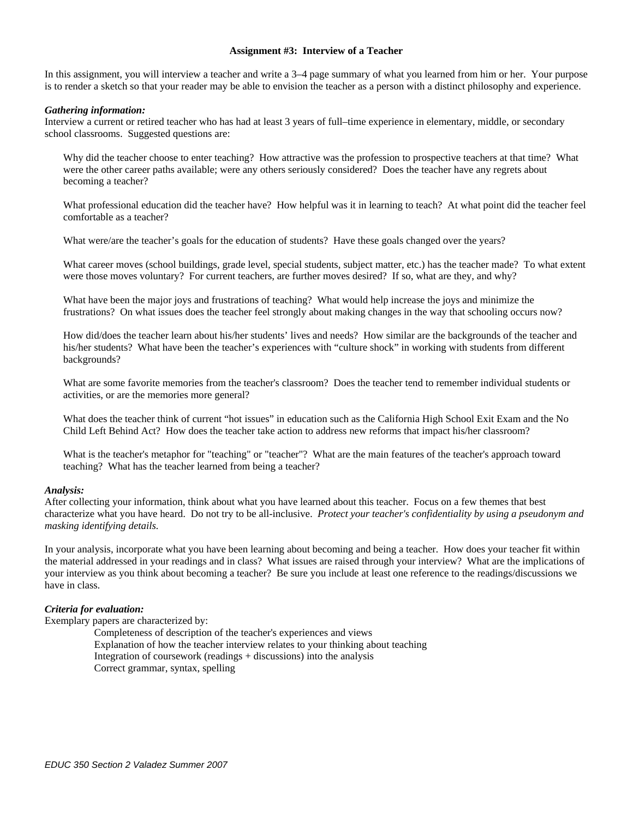### **Assignment #3: Interview of a Teacher**

In this assignment, you will interview a teacher and write a 3–4 page summary of what you learned from him or her. Your purpose is to render a sketch so that your reader may be able to envision the teacher as a person with a distinct philosophy and experience.

#### *Gathering information:*

Interview a current or retired teacher who has had at least 3 years of full–time experience in elementary, middle, or secondary school classrooms. Suggested questions are:

Why did the teacher choose to enter teaching? How attractive was the profession to prospective teachers at that time? What were the other career paths available; were any others seriously considered? Does the teacher have any regrets about becoming a teacher?

What professional education did the teacher have? How helpful was it in learning to teach? At what point did the teacher feel comfortable as a teacher?

What were/are the teacher's goals for the education of students? Have these goals changed over the years?

What career moves (school buildings, grade level, special students, subject matter, etc.) has the teacher made? To what extent were those moves voluntary? For current teachers, are further moves desired? If so, what are they, and why?

What have been the major joys and frustrations of teaching? What would help increase the joys and minimize the frustrations? On what issues does the teacher feel strongly about making changes in the way that schooling occurs now?

How did/does the teacher learn about his/her students' lives and needs? How similar are the backgrounds of the teacher and his/her students? What have been the teacher's experiences with "culture shock" in working with students from different backgrounds?

What are some favorite memories from the teacher's classroom? Does the teacher tend to remember individual students or activities, or are the memories more general?

What does the teacher think of current "hot issues" in education such as the California High School Exit Exam and the No Child Left Behind Act? How does the teacher take action to address new reforms that impact his/her classroom?

What is the teacher's metaphor for "teaching" or "teacher"? What are the main features of the teacher's approach toward teaching? What has the teacher learned from being a teacher?

### *Analysis:*

After collecting your information, think about what you have learned about this teacher. Focus on a few themes that best characterize what you have heard. Do not try to be all-inclusive. *Protect your teacher's confidentiality by using a pseudonym and masking identifying details.* 

In your analysis, incorporate what you have been learning about becoming and being a teacher. How does your teacher fit within the material addressed in your readings and in class? What issues are raised through your interview? What are the implications of your interview as you think about becoming a teacher? Be sure you include at least one reference to the readings/discussions we have in class.

#### *Criteria for evaluation:*

Exemplary papers are characterized by:

Completeness of description of the teacher's experiences and views Explanation of how the teacher interview relates to your thinking about teaching Integration of coursework (readings + discussions) into the analysis Correct grammar, syntax, spelling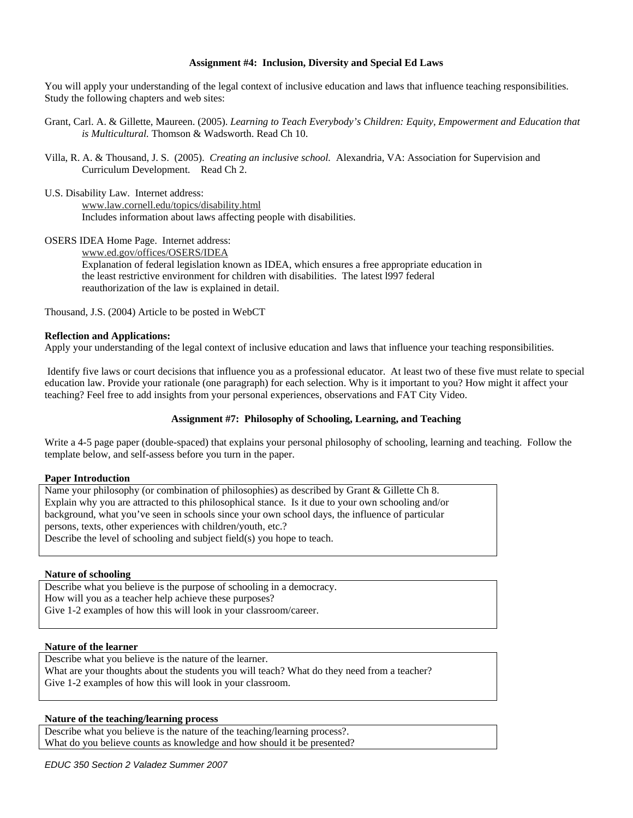## **Assignment #4: Inclusion, Diversity and Special Ed Laws**

You will apply your understanding of the legal context of inclusive education and laws that influence teaching responsibilities. Study the following chapters and web sites:

- Grant, Carl. A. & Gillette, Maureen. (2005). *Learning to Teach Everybody's Children: Equity, Empowerment and Education that is Multicultural.* Thomson & Wadsworth. Read Ch 10.
- Villa, R. A. & Thousand, J. S. (2005). *Creating an inclusive school.* Alexandria, VA: Association for Supervision and Curriculum Development. Read Ch 2.
- U.S. Disability Law. Internet address:

www.law.cornell.edu/topics/disability.html Includes information about laws affecting people with disabilities.

OSERS IDEA Home Page. Internet address:

www.ed.gov/offices/OSERS/IDEA Explanation of federal legislation known as IDEA, which ensures a free appropriate education in the least restrictive environment for children with disabilities. The latest l997 federal reauthorization of the law is explained in detail.

Thousand, J.S. (2004) Article to be posted in WebCT

# **Reflection and Applications:**

Apply your understanding of the legal context of inclusive education and laws that influence your teaching responsibilities.

 Identify five laws or court decisions that influence you as a professional educator. At least two of these five must relate to special education law. Provide your rationale (one paragraph) for each selection. Why is it important to you? How might it affect your teaching? Feel free to add insights from your personal experiences, observations and FAT City Video.

# **Assignment #7: Philosophy of Schooling, Learning, and Teaching**

Write a 4-5 page paper (double-spaced) that explains your personal philosophy of schooling, learning and teaching. Follow the template below, and self-assess before you turn in the paper.

### **Paper Introduction**

Name your philosophy (or combination of philosophies) as described by Grant & Gillette Ch 8. Explain why you are attracted to this philosophical stance. Is it due to your own schooling and/or background, what you've seen in schools since your own school days, the influence of particular persons, texts, other experiences with children/youth, etc.? Describe the level of schooling and subject field(s) you hope to teach.

### **Nature of schooling**

Describe what you believe is the purpose of schooling in a democracy. How will you as a teacher help achieve these purposes? Give 1-2 examples of how this will look in your classroom/career.

### **Nature of the learner**

Describe what you believe is the nature of the learner. What are your thoughts about the students you will teach? What do they need from a teacher? Give 1-2 examples of how this will look in your classroom.

### **Nature of the teaching/learning process**

Describe what you believe is the nature of the teaching/learning process?. What do you believe counts as knowledge and how should it be presented?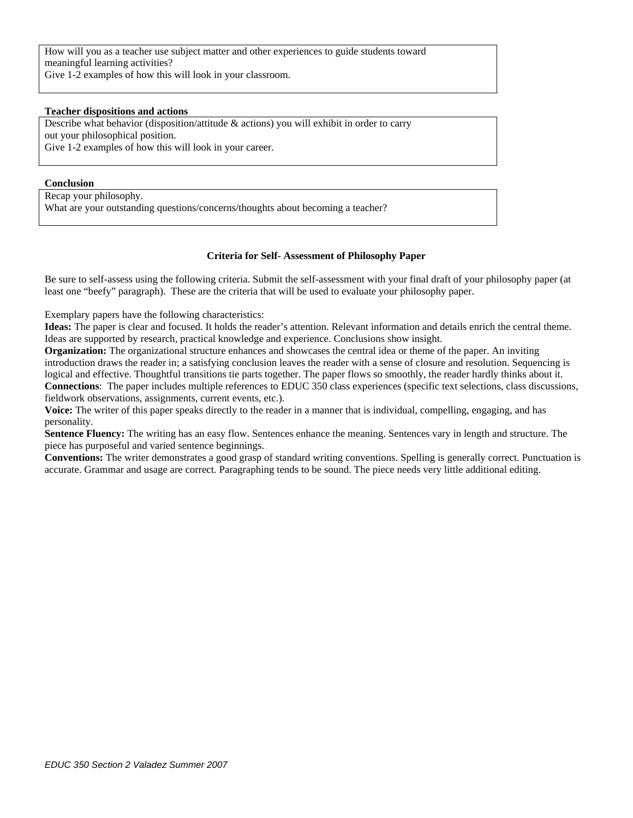How will you as a teacher use subject matter and other experiences to guide students toward meaningful learning activities? Give 1-2 examples of how this will look in your classroom.

### **Teacher dispositions and actions**

Describe what behavior (disposition/attitude & actions) you will exhibit in order to carry out your philosophical position. Give 1-2 examples of how this will look in your career.

### **Conclusion**

Recap your philosophy. What are your outstanding questions/concerns/thoughts about becoming a teacher?

### **Criteria for Self- Assessment of Philosophy Paper**

Be sure to self-assess using the following criteria. Submit the self-assessment with your final draft of your philosophy paper (at least one "beefy" paragraph). These are the criteria that will be used to evaluate your philosophy paper.

Exemplary papers have the following characteristics:

**Ideas:** The paper is clear and focused. It holds the reader's attention. Relevant information and details enrich the central theme. Ideas are supported by research, practical knowledge and experience. Conclusions show insight.

**Organization:** The organizational structure enhances and showcases the central idea or theme of the paper. An inviting introduction draws the reader in; a satisfying conclusion leaves the reader with a sense of closure and resolution. Sequencing is logical and effective. Thoughtful transitions tie parts together. The paper flows so smoothly, the reader hardly thinks about it. **Connections**: The paper includes multiple references to EDUC 350 class experiences (specific text selections, class discussions, fieldwork observations, assignments, current events, etc.).

**Voice:** The writer of this paper speaks directly to the reader in a manner that is individual, compelling, engaging, and has personality.

**Sentence Fluency:** The writing has an easy flow. Sentences enhance the meaning. Sentences vary in length and structure. The piece has purposeful and varied sentence beginnings.

**Conventions:** The writer demonstrates a good grasp of standard writing conventions. Spelling is generally correct. Punctuation is accurate. Grammar and usage are correct. Paragraphing tends to be sound. The piece needs very little additional editing.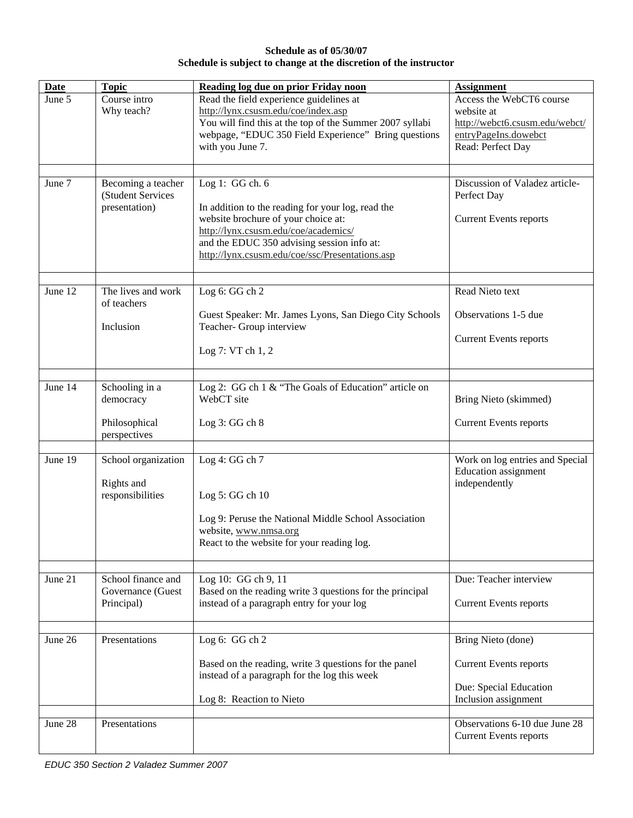# **Schedule as of 05/30/07 Schedule is subject to change at the discretion of the instructor**

| <b>Date</b> | <b>Topic</b>                                                 | Reading log due on prior Friday noon                                                                                                                                                                                                                 | <b>Assignment</b>                                                                                                     |
|-------------|--------------------------------------------------------------|------------------------------------------------------------------------------------------------------------------------------------------------------------------------------------------------------------------------------------------------------|-----------------------------------------------------------------------------------------------------------------------|
| June 5      | Course intro<br>Why teach?                                   | Read the field experience guidelines at<br>http://lynx.csusm.edu/coe/index.asp<br>You will find this at the top of the Summer 2007 syllabi<br>webpage, "EDUC 350 Field Experience" Bring questions<br>with you June 7.                               | Access the WebCT6 course<br>website at<br>http://webct6.csusm.edu/webct/<br>entryPageIns.dowebct<br>Read: Perfect Day |
| June 7      | Becoming a teacher<br>(Student Services<br>presentation)     | Log 1: GG ch. 6<br>In addition to the reading for your log, read the<br>website brochure of your choice at:<br>http://lynx.csusm.edu/coe/academics/<br>and the EDUC 350 advising session info at:<br>http://lynx.csusm.edu/coe/ssc/Presentations.asp | Discussion of Valadez article-<br>Perfect Day<br><b>Current Events reports</b>                                        |
| June 12     | The lives and work<br>of teachers<br>Inclusion               | Log 6: GG ch 2<br>Guest Speaker: Mr. James Lyons, San Diego City Schools<br>Teacher- Group interview<br>Log 7: VT ch 1, 2                                                                                                                            | Read Nieto text<br>Observations 1-5 due<br><b>Current Events reports</b>                                              |
| June 14     | Schooling in a<br>democracy<br>Philosophical<br>perspectives | Log 2: GG ch 1 & "The Goals of Education" article on<br>WebCT site<br>Log $3:GG$ ch $8$                                                                                                                                                              | Bring Nieto (skimmed)<br><b>Current Events reports</b>                                                                |
| June 19     | School organization<br>Rights and<br>responsibilities        | Log 4: GG ch 7<br>Log 5: GG ch 10<br>Log 9: Peruse the National Middle School Association<br>website, www.nmsa.org<br>React to the website for your reading log.                                                                                     | Work on log entries and Special<br><b>Education</b> assignment<br>independently                                       |
| June 21     | School finance and<br>Governance (Guest<br>Principal)        | Log 10: GG ch 9, 11<br>Based on the reading write 3 questions for the principal<br>instead of a paragraph entry for your log                                                                                                                         | Due: Teacher interview<br><b>Current Events reports</b>                                                               |
| June 26     | Presentations                                                | Log 6: GG ch 2<br>Based on the reading, write 3 questions for the panel<br>instead of a paragraph for the log this week<br>Log 8: Reaction to Nieto                                                                                                  | Bring Nieto (done)<br><b>Current Events reports</b><br>Due: Special Education<br>Inclusion assignment                 |
| June 28     | Presentations                                                |                                                                                                                                                                                                                                                      | Observations 6-10 due June 28<br><b>Current Events reports</b>                                                        |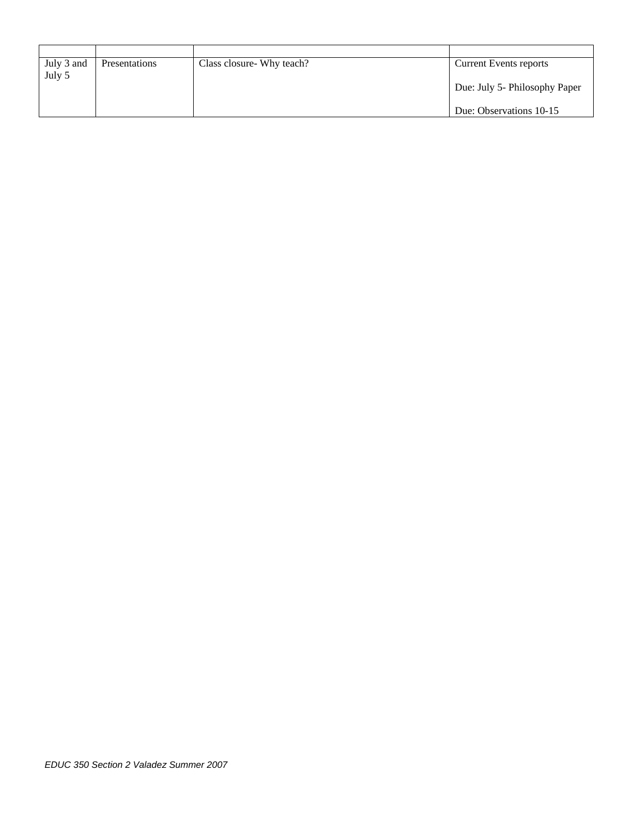| July 3 and | <b>Presentations</b> | Class closure Why teach? | <b>Current Events reports</b> |
|------------|----------------------|--------------------------|-------------------------------|
| July 5     |                      |                          |                               |
|            |                      |                          | Due: July 5- Philosophy Paper |
|            |                      |                          |                               |
|            |                      |                          | Due: Observations 10-15       |